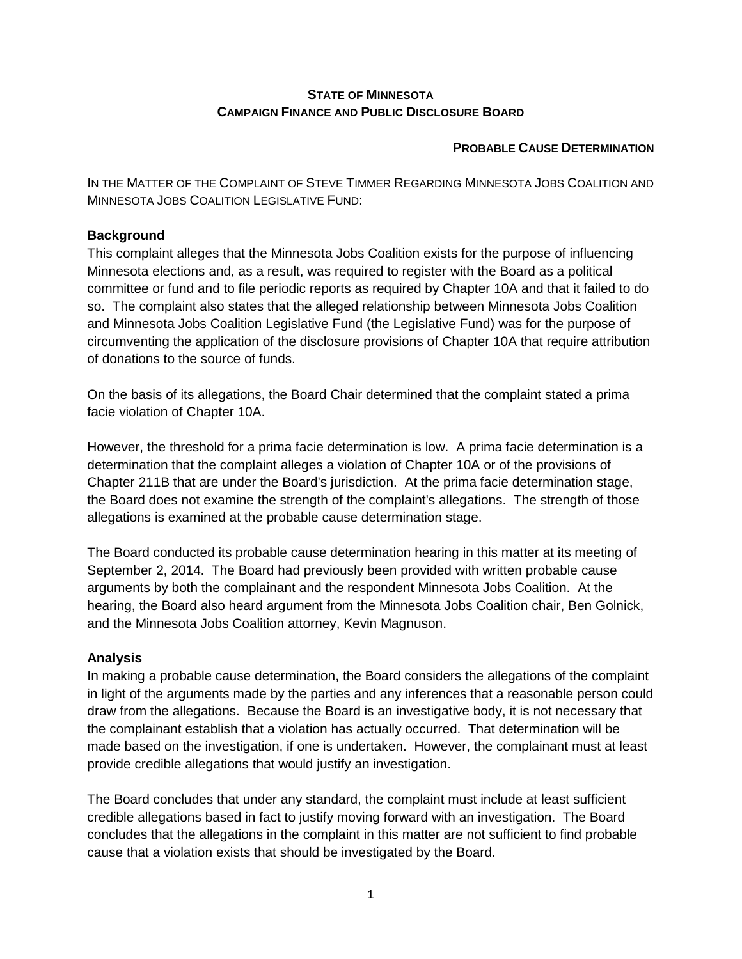# **STATE OF MINNESOTA CAMPAIGN FINANCE AND PUBLIC DISCLOSURE BOARD**

### **PROBABLE CAUSE DETERMINATION**

IN THE MATTER OF THE COMPLAINT OF STEVE TIMMER REGARDING MINNESOTA JOBS COALITION AND MINNESOTA JOBS COALITION LEGISLATIVE FUND:

### **Background**

This complaint alleges that the Minnesota Jobs Coalition exists for the purpose of influencing Minnesota elections and, as a result, was required to register with the Board as a political committee or fund and to file periodic reports as required by Chapter 10A and that it failed to do so. The complaint also states that the alleged relationship between Minnesota Jobs Coalition and Minnesota Jobs Coalition Legislative Fund (the Legislative Fund) was for the purpose of circumventing the application of the disclosure provisions of Chapter 10A that require attribution of donations to the source of funds.

On the basis of its allegations, the Board Chair determined that the complaint stated a prima facie violation of Chapter 10A.

However, the threshold for a prima facie determination is low. A prima facie determination is a determination that the complaint alleges a violation of Chapter 10A or of the provisions of Chapter 211B that are under the Board's jurisdiction. At the prima facie determination stage, the Board does not examine the strength of the complaint's allegations. The strength of those allegations is examined at the probable cause determination stage.

The Board conducted its probable cause determination hearing in this matter at its meeting of September 2, 2014. The Board had previously been provided with written probable cause arguments by both the complainant and the respondent Minnesota Jobs Coalition. At the hearing, the Board also heard argument from the Minnesota Jobs Coalition chair, Ben Golnick, and the Minnesota Jobs Coalition attorney, Kevin Magnuson.

# **Analysis**

In making a probable cause determination, the Board considers the allegations of the complaint in light of the arguments made by the parties and any inferences that a reasonable person could draw from the allegations. Because the Board is an investigative body, it is not necessary that the complainant establish that a violation has actually occurred. That determination will be made based on the investigation, if one is undertaken. However, the complainant must at least provide credible allegations that would justify an investigation.

The Board concludes that under any standard, the complaint must include at least sufficient credible allegations based in fact to justify moving forward with an investigation. The Board concludes that the allegations in the complaint in this matter are not sufficient to find probable cause that a violation exists that should be investigated by the Board.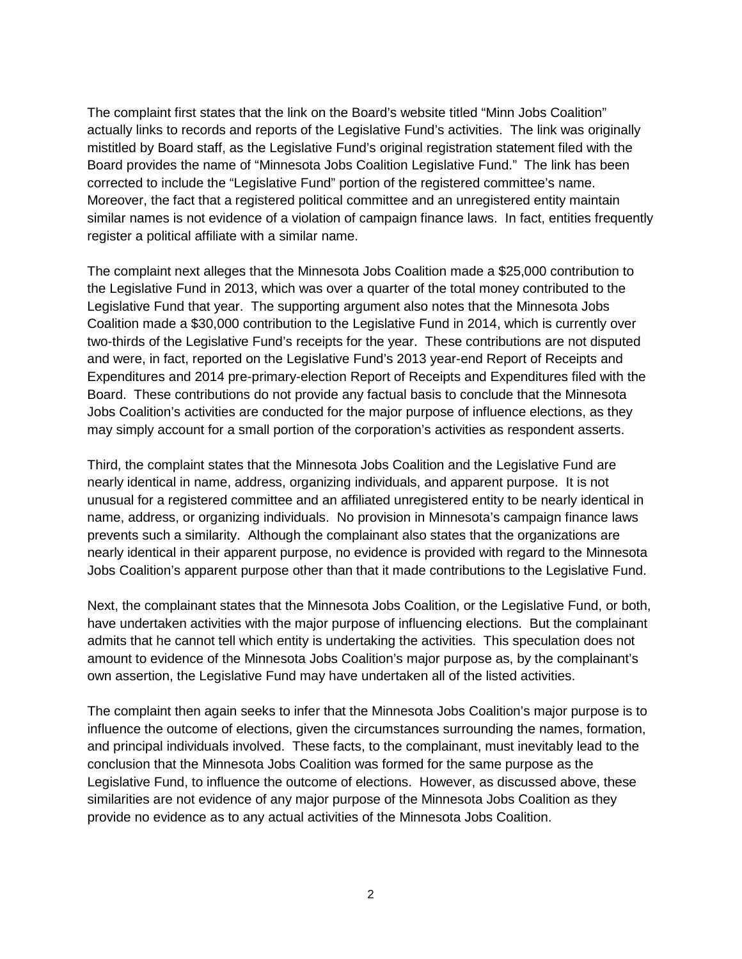The complaint first states that the link on the Board's website titled "Minn Jobs Coalition" actually links to records and reports of the Legislative Fund's activities. The link was originally mistitled by Board staff, as the Legislative Fund's original registration statement filed with the Board provides the name of "Minnesota Jobs Coalition Legislative Fund." The link has been corrected to include the "Legislative Fund" portion of the registered committee's name. Moreover, the fact that a registered political committee and an unregistered entity maintain similar names is not evidence of a violation of campaign finance laws. In fact, entities frequently register a political affiliate with a similar name.

The complaint next alleges that the Minnesota Jobs Coalition made a \$25,000 contribution to the Legislative Fund in 2013, which was over a quarter of the total money contributed to the Legislative Fund that year. The supporting argument also notes that the Minnesota Jobs Coalition made a \$30,000 contribution to the Legislative Fund in 2014, which is currently over two-thirds of the Legislative Fund's receipts for the year. These contributions are not disputed and were, in fact, reported on the Legislative Fund's 2013 year-end Report of Receipts and Expenditures and 2014 pre-primary-election Report of Receipts and Expenditures filed with the Board. These contributions do not provide any factual basis to conclude that the Minnesota Jobs Coalition's activities are conducted for the major purpose of influence elections, as they may simply account for a small portion of the corporation's activities as respondent asserts.

Third, the complaint states that the Minnesota Jobs Coalition and the Legislative Fund are nearly identical in name, address, organizing individuals, and apparent purpose. It is not unusual for a registered committee and an affiliated unregistered entity to be nearly identical in name, address, or organizing individuals. No provision in Minnesota's campaign finance laws prevents such a similarity. Although the complainant also states that the organizations are nearly identical in their apparent purpose, no evidence is provided with regard to the Minnesota Jobs Coalition's apparent purpose other than that it made contributions to the Legislative Fund.

Next, the complainant states that the Minnesota Jobs Coalition, or the Legislative Fund, or both, have undertaken activities with the major purpose of influencing elections. But the complainant admits that he cannot tell which entity is undertaking the activities. This speculation does not amount to evidence of the Minnesota Jobs Coalition's major purpose as, by the complainant's own assertion, the Legislative Fund may have undertaken all of the listed activities.

The complaint then again seeks to infer that the Minnesota Jobs Coalition's major purpose is to influence the outcome of elections, given the circumstances surrounding the names, formation, and principal individuals involved. These facts, to the complainant, must inevitably lead to the conclusion that the Minnesota Jobs Coalition was formed for the same purpose as the Legislative Fund, to influence the outcome of elections. However, as discussed above, these similarities are not evidence of any major purpose of the Minnesota Jobs Coalition as they provide no evidence as to any actual activities of the Minnesota Jobs Coalition.